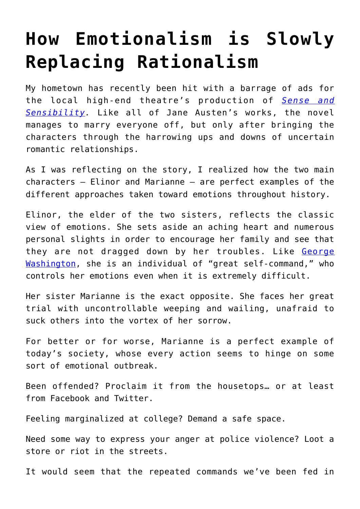## **[How Emotionalism is Slowly](https://intellectualtakeout.org/2016/09/how-emotionalism-is-slowly-replacing-rationalism/) [Replacing Rationalism](https://intellectualtakeout.org/2016/09/how-emotionalism-is-slowly-replacing-rationalism/)**

My hometown has recently been hit with a barrage of ads for the local high-end theatre's production of *[Sense and](https://www.amazon.com/gp/product/0141439661/ref=as_li_qf_sp_asin_il_tl?ie=UTF8&tag=intelltakeo0d-20&camp=1789&creative=9325&linkCode=as2&creativeASIN=0141439661&linkId=41526e27a6ba044aebaec2ac60952ea6) [Sensibility.](https://www.amazon.com/gp/product/0141439661/ref=as_li_qf_sp_asin_il_tl?ie=UTF8&tag=intelltakeo0d-20&camp=1789&creative=9325&linkCode=as2&creativeASIN=0141439661&linkId=41526e27a6ba044aebaec2ac60952ea6)* Like all of Jane Austen's works, the novel manages to marry everyone off, but only after bringing the characters through the harrowing ups and downs of uncertain romantic relationships.

As I was reflecting on the story, I realized how the two main characters – Elinor and Marianne – are perfect examples of the different approaches taken toward emotions throughout history.

Elinor, the elder of the two sisters, reflects the classic view of emotions. She sets aside an aching heart and numerous personal slights in order to encourage her family and see that they are not dragged down by her troubles. Like [George](https://www.gilderlehrman.org/history-by-era/age-jefferson-and-madison/resources/john-adams-describes-george-washington%E2%80%99s-ten-tale) [Washington](https://www.gilderlehrman.org/history-by-era/age-jefferson-and-madison/resources/john-adams-describes-george-washington%E2%80%99s-ten-tale), she is an individual of "great self-command," who controls her emotions even when it is extremely difficult.

Her sister Marianne is the exact opposite. She faces her great trial with uncontrollable weeping and wailing, unafraid to suck others into the vortex of her sorrow.

For better or for worse, Marianne is a perfect example of today's society, whose every action seems to hinge on some sort of emotional outbreak.

Been offended? Proclaim it from the housetops… or at least from Facebook and Twitter.

Feeling marginalized at college? Demand a safe space.

Need some way to express your anger at police violence? Loot a store or riot in the streets.

It would seem that the repeated commands we've been fed in